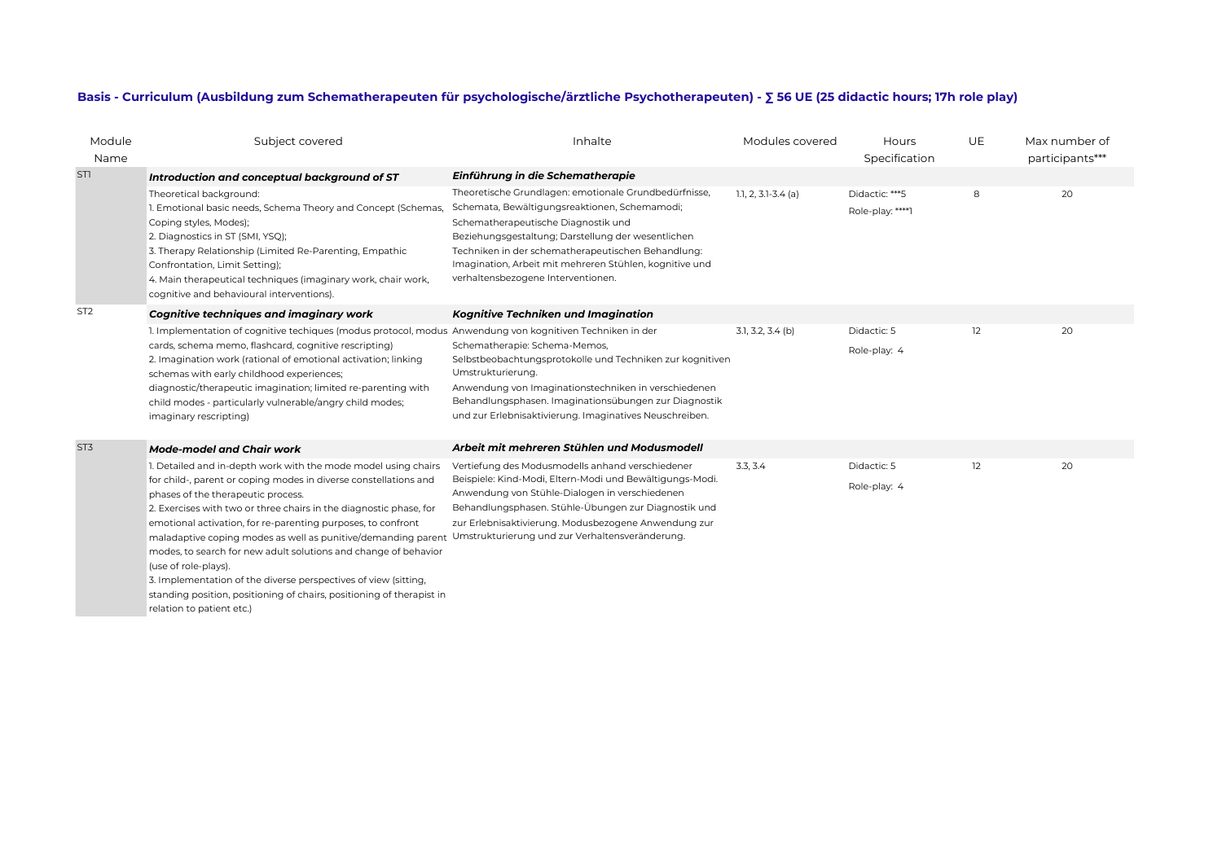## **Basis - Curriculum (Ausbildung zum Schematherapeuten für psychologische/ärztliche Psychotherapeuten) - ∑ 56 UE (25 didactic hours; 17h role play)**

| Module          | Subject covered                                                                                                                                                                                                                                                                                                                                                                                                                                                                                                                                                                   | Inhalte                                                                                                                                                                                                                                                                                                                                                    | Modules covered         | Hours                              | UE | Max number of   |
|-----------------|-----------------------------------------------------------------------------------------------------------------------------------------------------------------------------------------------------------------------------------------------------------------------------------------------------------------------------------------------------------------------------------------------------------------------------------------------------------------------------------------------------------------------------------------------------------------------------------|------------------------------------------------------------------------------------------------------------------------------------------------------------------------------------------------------------------------------------------------------------------------------------------------------------------------------------------------------------|-------------------------|------------------------------------|----|-----------------|
| Name            |                                                                                                                                                                                                                                                                                                                                                                                                                                                                                                                                                                                   |                                                                                                                                                                                                                                                                                                                                                            |                         | Specification                      |    | participants*** |
| STI             | Introduction and conceptual background of ST                                                                                                                                                                                                                                                                                                                                                                                                                                                                                                                                      | Einführung in die Schematherapie                                                                                                                                                                                                                                                                                                                           |                         |                                    |    |                 |
|                 | Theoretical background:<br>1. Emotional basic needs, Schema Theory and Concept (Schemas,<br>Coping styles, Modes);<br>2. Diagnostics in ST (SMI, YSQ);<br>3. Therapy Relationship (Limited Re-Parenting, Empathic<br>Confrontation, Limit Setting);<br>4. Main therapeutical techniques (imaginary work, chair work,<br>cognitive and behavioural interventions).                                                                                                                                                                                                                 | Theoretische Grundlagen: emotionale Grundbedürfnisse,<br>Schemata, Bewältigungsreaktionen, Schemamodi;<br>Schematherapeutische Diagnostik und<br>Beziehungsgestaltung; Darstellung der wesentlichen<br>Techniken in der schematherapeutischen Behandlung:<br>Imagination, Arbeit mit mehreren Stühlen, kognitive und<br>verhaltensbezogene Interventionen. | $1.1, 2, 3.1 - 3.4$ (a) | Didactic: ***5<br>Role-play: ****1 | 8  | 20              |
| ST <sub>2</sub> | <b>Cognitive techniques and imaginary work</b>                                                                                                                                                                                                                                                                                                                                                                                                                                                                                                                                    | Kognitive Techniken und Imagination                                                                                                                                                                                                                                                                                                                        |                         |                                    |    |                 |
| ST3             | 1. Implementation of cognitive techiques (modus protocol, modus Anwendung von kognitiven Techniken in der<br>cards, schema memo, flashcard, cognitive rescripting)<br>2. Imagination work (rational of emotional activation; linking<br>schemas with early childhood experiences;<br>diagnostic/therapeutic imagination; limited re-parenting with<br>child modes - particularly vulnerable/angry child modes;<br>imaginary rescripting)<br><b>Mode-model and Chair work</b>                                                                                                      | Schematherapie: Schema-Memos,<br>Selbstbeobachtungsprotokolle und Techniken zur kognitiven<br>Umstrukturierung.<br>Anwendung von Imaginationstechniken in verschiedenen<br>Behandlungsphasen. Imaginationsübungen zur Diagnostik<br>und zur Erlebnisaktivierung. Imaginatives Neuschreiben.<br>Arbeit mit mehreren Stühlen und Modusmodell                 | $3.1, 3.2, 3.4$ (b)     | Didactic: 5<br>Role-play: 4        | 12 | 20              |
|                 | 1. Detailed and in-depth work with the mode model using chairs                                                                                                                                                                                                                                                                                                                                                                                                                                                                                                                    | Vertiefung des Modusmodells anhand verschiedener                                                                                                                                                                                                                                                                                                           | 3.3, 3.4                | Didactic: 5                        | 12 | 20              |
|                 | for child-, parent or coping modes in diverse constellations and<br>phases of the therapeutic process.<br>2. Exercises with two or three chairs in the diagnostic phase, for<br>emotional activation, for re-parenting purposes, to confront<br>maladaptive coping modes as well as punitive/demanding parent<br>modes, to search for new adult solutions and change of behavior<br>(use of role-plays).<br>3. Implementation of the diverse perspectives of view (sitting,<br>standing position, positioning of chairs, positioning of therapist in<br>relation to patient etc.) | Beispiele: Kind-Modi, Eltern-Modi und Bewältigungs-Modi.<br>Anwendung von Stühle-Dialogen in verschiedenen<br>Behandlungsphasen. Stühle-Übungen zur Diagnostik und<br>zur Erlebnisaktivierung. Modusbezogene Anwendung zur<br>Umstrukturierung und zur Verhaltensveränderung.                                                                              |                         | Role-play: 4                       |    |                 |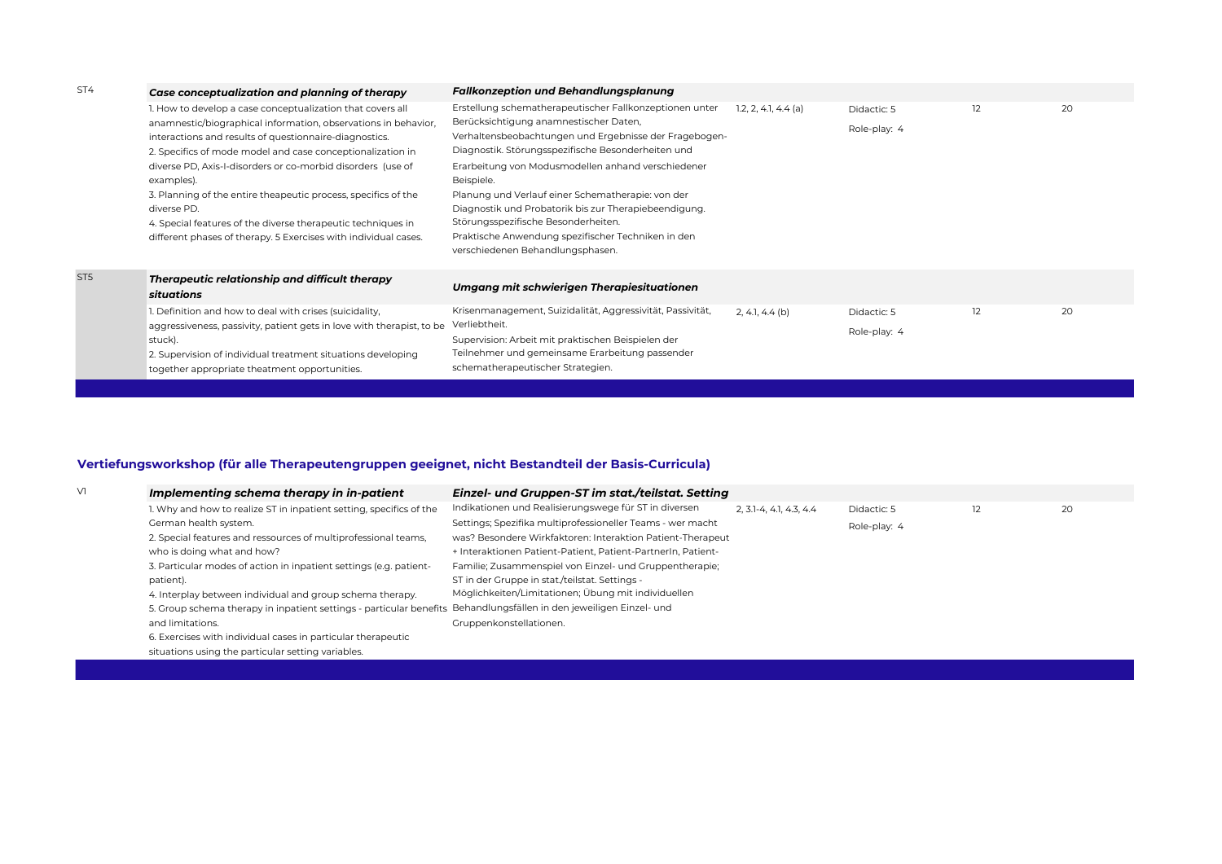| ST4             | Case conceptualization and planning of therapy                                                                                                                                                                                                                                                                                                                                                                                                                                                                                                        | <b>Fallkonzeption und Behandlungsplanung</b>                                                                                                                                                                                                                                                                                                                                                                                                                                                                                         |                        |                             |    |    |
|-----------------|-------------------------------------------------------------------------------------------------------------------------------------------------------------------------------------------------------------------------------------------------------------------------------------------------------------------------------------------------------------------------------------------------------------------------------------------------------------------------------------------------------------------------------------------------------|--------------------------------------------------------------------------------------------------------------------------------------------------------------------------------------------------------------------------------------------------------------------------------------------------------------------------------------------------------------------------------------------------------------------------------------------------------------------------------------------------------------------------------------|------------------------|-----------------------------|----|----|
|                 | 1. How to develop a case conceptualization that covers all<br>anamnestic/biographical information, observations in behavior,<br>interactions and results of questionnaire-diagnostics.<br>2. Specifics of mode model and case conceptionalization in<br>diverse PD, Axis-I-disorders or co-morbid disorders (use of<br>examples).<br>3. Planning of the entire theapeutic process, specifics of the<br>diverse PD.<br>4. Special features of the diverse therapeutic techniques in<br>different phases of therapy. 5 Exercises with individual cases. | Erstellung schematherapeutischer Fallkonzeptionen unter<br>Berücksichtigung anamnestischer Daten,<br>Verhaltensbeobachtungen und Ergebnisse der Fragebogen-<br>Diagnostik. Störungsspezifische Besonderheiten und<br>Erarbeitung von Modusmodellen anhand verschiedener<br>Beispiele.<br>Planung und Verlauf einer Schematherapie: von der<br>Diagnostik und Probatorik bis zur Therapiebeendigung.<br>Störungsspezifische Besonderheiten.<br>Praktische Anwendung spezifischer Techniken in den<br>verschiedenen Behandlungsphasen. | $1.2, 2, 4.1, 4.4$ (a) | Didactic: 5<br>Role-play: 4 | 12 | 20 |
| ST <sub>5</sub> | Therapeutic relationship and difficult therapy<br>situations<br>I. Definition and how to deal with crises (suicidality,                                                                                                                                                                                                                                                                                                                                                                                                                               | Umgang mit schwierigen Therapiesituationen<br>Krisenmanagement, Suizidalität, Aggressivität, Passivität,                                                                                                                                                                                                                                                                                                                                                                                                                             | $2, 4.1, 4.4$ (b)      | Didactic: 5                 | 12 | 20 |
|                 | aggressiveness, passivity, patient gets in love with therapist, to be<br>stuck).<br>2. Supervision of individual treatment situations developing<br>together appropriate theatment opportunities.                                                                                                                                                                                                                                                                                                                                                     | Verliebtheit.<br>Supervision: Arbeit mit praktischen Beispielen der<br>Teilnehmer und gemeinsame Erarbeitung passender<br>schematherapeutischer Strategien.                                                                                                                                                                                                                                                                                                                                                                          |                        | Role-play: 4                |    |    |

## **Vertiefungsworkshop (für alle Therapeutengruppen geeignet, nicht Bestandteil der Basis-Curricula)**

| Implementing schema therapy in in-patient                           | Einzel- und Gruppen-ST im stat./teilstat. Setting            |                              |              |    |    |
|---------------------------------------------------------------------|--------------------------------------------------------------|------------------------------|--------------|----|----|
| 1. Why and how to realize ST in inpatient setting, specifics of the | Indikationen und Realisierungswege für ST in diversen        | $2, 3, -4, 4, 1, 4, 3, 4, 4$ | Didactic: 5  | 12 | 20 |
| German health system.                                               | Settings; Spezifika multiprofessioneller Teams - wer macht   |                              | Role-play: 4 |    |    |
| 2. Special features and ressources of multiprofessional teams,      | was? Besondere Wirkfaktoren: Interaktion Patient-Therapeut   |                              |              |    |    |
| who is doing what and how?                                          | + Interaktionen Patient-Patient, Patient-PartnerIn, Patient- |                              |              |    |    |
| 3. Particular modes of action in inpatient settings (e.g. patient-  | Familie; Zusammenspiel von Einzel- und Gruppentherapie;      |                              |              |    |    |
| patient).                                                           | ST in der Gruppe in stat./teilstat. Settings -               |                              |              |    |    |
| 4. Interplay between individual and group schema therapy.           | Möglichkeiten/Limitationen; Übung mit individuellen          |                              |              |    |    |
| 5. Group schema therapy in inpatient settings - particular benefits | Behandlungsfällen in den jeweiligen Einzel- und              |                              |              |    |    |
| and limitations.                                                    | Gruppenkonstellationen.                                      |                              |              |    |    |
| 6. Exercises with individual cases in particular therapeutic        |                                                              |                              |              |    |    |
| situations using the particular setting variables.                  |                                                              |                              |              |    |    |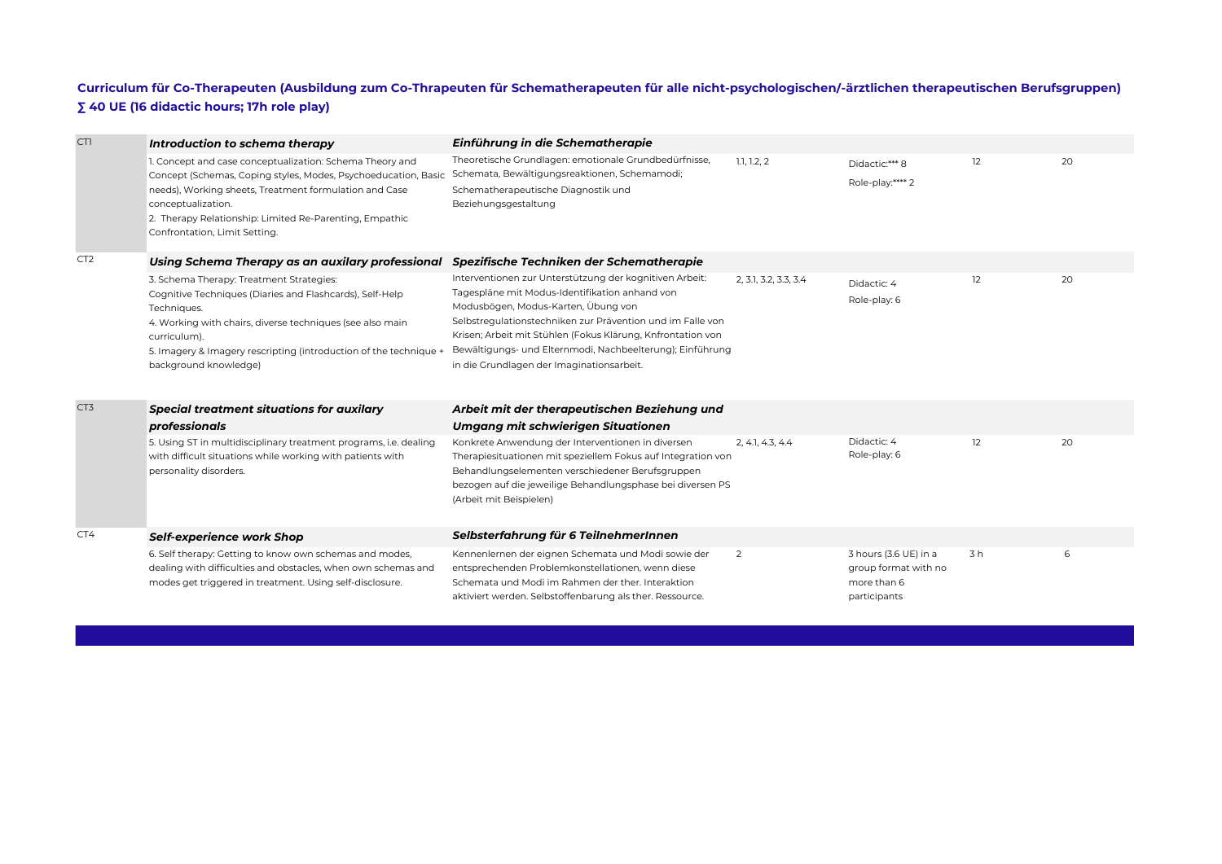## **Curriculum für Co-Therapeuten (Ausbildung zum Co-Thrapeuten für Schematherapeuten für alle nicht-psychologischen/-ärztlichen therapeutischen Berufsgruppen) ∑ 40 UE (16 didactic hours; 17h role play)**

| CTI             | Introduction to schema therapy                                                                                                                                                                                                                                                                         | Einführung in die Schematherapie                                                                                                                                                                                                                                                                                                                                                        |                       |                                                                              |    |    |
|-----------------|--------------------------------------------------------------------------------------------------------------------------------------------------------------------------------------------------------------------------------------------------------------------------------------------------------|-----------------------------------------------------------------------------------------------------------------------------------------------------------------------------------------------------------------------------------------------------------------------------------------------------------------------------------------------------------------------------------------|-----------------------|------------------------------------------------------------------------------|----|----|
|                 | 1. Concept and case conceptualization: Schema Theory and<br>Concept (Schemas, Coping styles, Modes, Psychoeducation, Basic<br>needs), Working sheets, Treatment formulation and Case<br>conceptualization.<br>2. Therapy Relationship: Limited Re-Parenting, Empathic<br>Confrontation, Limit Setting. | Theoretische Grundlagen: emotionale Grundbedürfnisse,<br>Schemata, Bewältigungsreaktionen, Schemamodi;<br>Schematherapeutische Diagnostik und<br>Beziehungsgestaltung                                                                                                                                                                                                                   | 1.1, 1.2, 2           | Didactic:*** 8<br>Role-play:**** 2                                           | 12 | 20 |
| CT <sub>2</sub> | Using Schema Therapy as an auxilary professional                                                                                                                                                                                                                                                       | Spezifische Techniken der Schematherapie                                                                                                                                                                                                                                                                                                                                                |                       |                                                                              |    |    |
|                 | 3. Schema Therapy: Treatment Strategies:<br>Cognitive Techniques (Diaries and Flashcards), Self-Help<br>Techniques.<br>4. Working with chairs, diverse techniques (see also main<br>curriculum).<br>5. Imagery & Imagery rescripting (introduction of the technique +<br>background knowledge)         | Interventionen zur Unterstützung der kognitiven Arbeit:<br>Tagespläne mit Modus-Identifikation anhand von<br>Modusbögen, Modus-Karten, Übung von<br>Selbstregulationstechniken zur Prävention und im Falle von<br>Krisen; Arbeit mit Stühlen (Fokus Klärung, Knfrontation von<br>Bewältigungs- und Elternmodi, Nachbeelterung); Einführung<br>in die Grundlagen der Imaginationsarbeit. | 2, 3.1, 3.2, 3.3, 3.4 | Didactic: 4<br>Role-play: 6                                                  | 12 | 20 |
| CT3             | <b>Special treatment situations for auxilary</b>                                                                                                                                                                                                                                                       | Arbeit mit der therapeutischen Beziehung und                                                                                                                                                                                                                                                                                                                                            |                       |                                                                              |    |    |
|                 | professionals                                                                                                                                                                                                                                                                                          | Umgang mit schwierigen Situationen                                                                                                                                                                                                                                                                                                                                                      |                       |                                                                              |    |    |
|                 | 5. Using ST in multidisciplinary treatment programs, i.e. dealing<br>with difficult situations while working with patients with<br>personality disorders.                                                                                                                                              | Konkrete Anwendung der Interventionen in diversen<br>Therapiesituationen mit speziellem Fokus auf Integration von<br>Behandlungselementen verschiedener Berufsgruppen<br>bezogen auf die jeweilige Behandlungsphase bei diversen PS<br>(Arbeit mit Beispielen)                                                                                                                          | 2, 4.1, 4.3, 4.4      | Didactic: 4<br>Role-play: 6                                                  | 12 | 20 |
| CT4             | <b>Self-experience work Shop</b>                                                                                                                                                                                                                                                                       | Selbsterfahrung für 6 TeilnehmerInnen                                                                                                                                                                                                                                                                                                                                                   |                       |                                                                              |    |    |
|                 | 6. Self therapy: Getting to know own schemas and modes,<br>dealing with difficulties and obstacles, when own schemas and<br>modes get triggered in treatment. Using self-disclosure.                                                                                                                   | Kennenlernen der eignen Schemata und Modi sowie der<br>entsprechenden Problemkonstellationen, wenn diese<br>Schemata und Modi im Rahmen der ther, Interaktion<br>aktiviert werden. Selbstoffenbarung als ther. Ressource.                                                                                                                                                               | $\overline{2}$        | 3 hours (3.6 UE) in a<br>group format with no<br>more than 6<br>participants | 3h | 6  |